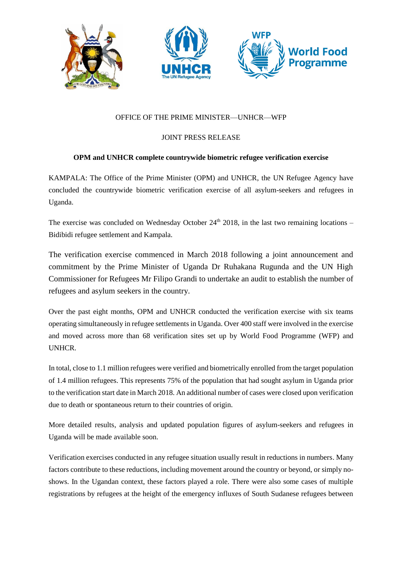

## OFFICE OF THE PRIME MINISTER—UNHCR—WFP

## JOINT PRESS RELEASE

## **OPM and UNHCR complete countrywide biometric refugee verification exercise**

KAMPALA: The Office of the Prime Minister (OPM) and UNHCR, the UN Refugee Agency have concluded the countrywide biometric verification exercise of all asylum-seekers and refugees in Uganda.

The exercise was concluded on Wednesday October  $24<sup>th</sup>$  2018, in the last two remaining locations – Bidibidi refugee settlement and Kampala.

The verification exercise commenced in March 2018 following a joint announcement and commitment by the Prime Minister of Uganda Dr Ruhakana Rugunda and the UN High Commissioner for Refugees Mr Filipo Grandi to undertake an audit to establish the number of refugees and asylum seekers in the country.

Over the past eight months, OPM and UNHCR conducted the verification exercise with six teams operating simultaneously in refugee settlements in Uganda. Over 400 staff were involved in the exercise and moved across more than 68 verification sites set up by World Food Programme (WFP) and UNHCR.

In total, close to 1.1 million refugees were verified and biometrically enrolled from the target population of 1.4 million refugees. This represents 75% of the population that had sought asylum in Uganda prior to the verification start date in March 2018. An additional number of cases were closed upon verification due to death or spontaneous return to their countries of origin.

More detailed results, analysis and updated population figures of asylum-seekers and refugees in Uganda will be made available soon.

Verification exercises conducted in any refugee situation usually result in reductions in numbers. Many factors contribute to these reductions, including movement around the country or beyond, or simply noshows. In the Ugandan context, these factors played a role. There were also some cases of multiple registrations by refugees at the height of the emergency influxes of South Sudanese refugees between